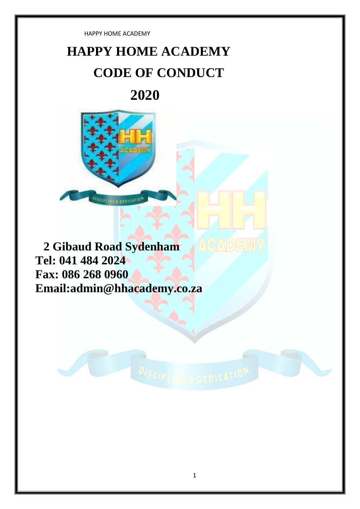# **HAPPY HOME ACADEMY CODE OF CONDUCT**

## **2020**



**2 Gibaud Road Sydenham Tel: 041 484 2024 Fax: 086 268 0960 Email:admin@hhacademy.co.za**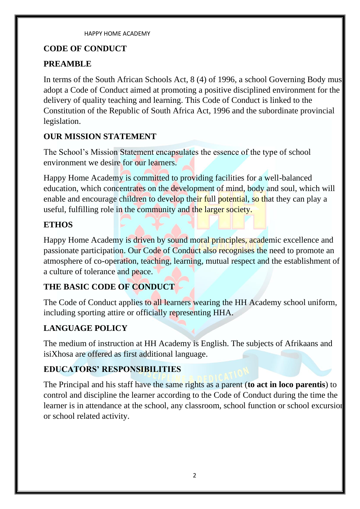#### **CODE OF CONDUCT**

### **PREAMBLE**

In terms of the South African Schools Act, 8 (4) of 1996, a school Governing Body mus adopt a Code of Conduct aimed at promoting a positive disciplined environment for the delivery of quality teaching and learning. This Code of Conduct is linked to the Constitution of the Republic of South Africa Act, 1996 and the subordinate provincial legislation.

### **OUR MISSION STATEMENT**

The School's Mission Statement encapsulates the essence of the type of school environment we desire for our learners.

Happy Home Academy is committed to providing facilities for a well-balanced education, which concentrates on the development of mind, body and soul, which will enable and encourage children to develop their full potential, so that they can play a useful, fulfilling role in the community and the larger society.

#### **ETHOS**

Happy Home Academy is driven by sound moral principles, academic excellence and passionate participation. Our Code of Conduct also recognises the need to promote an atmosphere of co-operation, teaching, learning, mutual respect and the establishment of a culture of tolerance and peace.

### **THE BASIC CODE OF CONDUCT**

The Code of Conduct applies to all learners wearing the HH Academy school uniform, including sporting attire or officially representing HHA.

### **LANGUAGE POLICY**

The medium of instruction at HH Academy is English. The subjects of Afrikaans and isiXhosa are offered as first additional language.

### **EDUCATORS' RESPONSIBILITIES**

The Principal and his staff have the same rights as a parent (**to act in loco parentis**) to control and discipline the learner according to the Code of Conduct during the time the learner is in attendance at the school, any classroom, school function or school excursion or school related activity.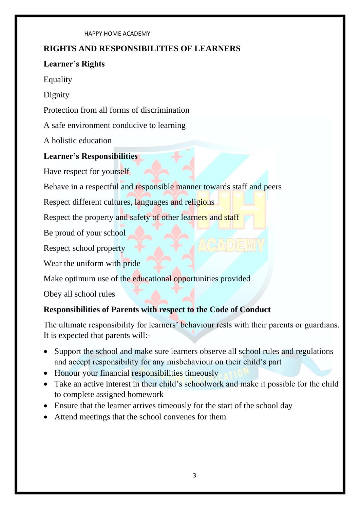#### **RIGHTS AND RESPONSIBILITIES OF LEARNERS**

#### **Learner's Rights**

Equality

Dignity

Protection from all forms of discrimination

A safe environment conducive to learning

A holistic education

### **Learner's Responsibilities**

Have respect for yourself

Behave in a respectful and responsible manner towards staff and peers

Respect different cultures, languages and religions

Respect the property and safety of other learners and staff

Be proud of your school

Respect school property

Wear the uniform with pride

Make optimum use of the educational opportunities provided

Obey all school rules

### **Responsibilities of Parents with respect to the Code of Conduct**

The ultimate responsibility for learners' behaviour rests with their parents or guardians. It is expected that parents will:-

- Support the school and make sure learners observe all school rules and regulations and accept responsibility for any misbehaviour on their child's part
- Honour your financial responsibilities timeously
- Take an active interest in their child's schoolwork and make it possible for the child to complete assigned homework
- Ensure that the learner arrives timeously for the start of the school day
- Attend meetings that the school convenes for them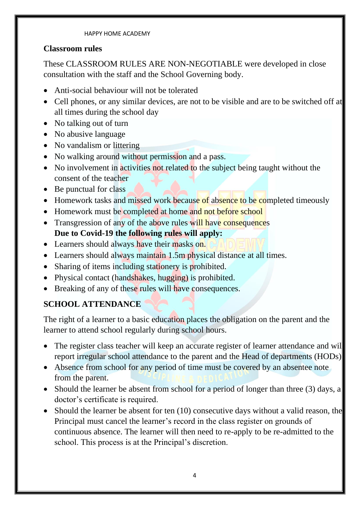#### **Classroom rules**

These CLASSROOM RULES ARE NON-NEGOTIABLE were developed in close consultation with the staff and the School Governing body.

- Anti-social behaviour will not be tolerated
- Cell phones, or any similar devices, are not to be visible and are to be switched off at all times during the school day
- No talking out of turn
- No abusive language
- No vandalism or littering
- No walking around without permission and a pass.
- No involvement in activities not related to the subject being taught without the consent of the teacher
- Be punctual for class
- Homework tasks and missed work because of absence to be completed timeously
- Homework must be completed at home and not before school
- Transgression of any of the above rules will have consequences **Due to Covid-19 the following rules will apply:**
- Learners should always have their masks on.
- Learners should always maintain 1.5m physical distance at all times.
- Sharing of items including stationery is prohibited.
- Physical contact (handshakes, hugging) is prohibited.
- Breaking of any of these rules will have consequences.

### **SCHOOL ATTENDANCE**

The right of a learner to a basic education places the obligation on the parent and the learner to attend school regularly during school hours.

- The register class teacher will keep an accurate register of learner attendance and wil report irregular school attendance to the parent and the Head of departments (HODs).
- Absence from school for any period of time must be covered by an absentee note from the parent.
- Should the learner be absent from school for a period of longer than three (3) days, a doctor's certificate is required.
- Should the learner be absent for ten (10) consecutive days without a valid reason, the Principal must cancel the learner's record in the class register on grounds of continuous absence. The learner will then need to re-apply to be re-admitted to the school. This process is at the Principal's discretion.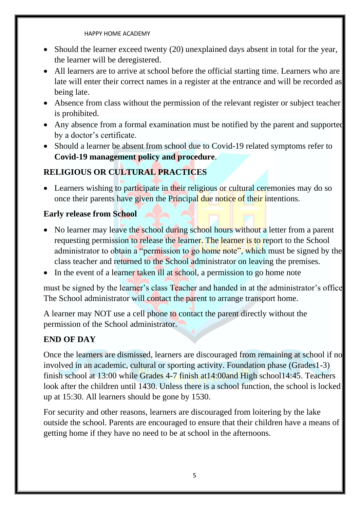- Should the learner exceed twenty (20) unexplained days absent in total for the year, the learner will be deregistered.
- All learners are to arrive at school before the official starting time. Learners who are late will enter their correct names in a register at the entrance and will be recorded as being late.
- Absence from class without the permission of the relevant register or subject teacher is prohibited.
- Any absence from a formal examination must be notified by the parent and supported by a doctor's certificate.
- Should a learner be absent from school due to Covid-19 related symptoms refer to **Covid-19 management policy and procedure**.

### **RELIGIOUS OR CULTURAL PRACTICES**

• Learners wishing to participate in their religious or cultural ceremonies may do so once their parents have given the Principal due notice of their intentions.

#### **Early release from School**

- No learner may leave the school during school hours without a letter from a parent requesting permission to release the learner. The learner is to report to the School administrator to obtain a "permission to go home note", which must be signed by the class teacher and returned to the School administrator on leaving the premises.
- In the event of a learner taken ill at school, a permission to go home note

must be signed by the learner's class Teacher and handed in at the administrator's office. The School administrator will contact the parent to arrange transport home.

A learner may NOT use a cell phone to contact the parent directly without the permission of the School administrator.

### **END OF DAY**

Once the learners are dismissed, learners are discouraged from remaining at school if no involved in an academic, cultural or sporting activity. Foundation phase (Grades1-3) finish school at 13:00 while Grades 4-7 finish at14:00and High school14:45. Teachers look after the children until 1430. Unless there is a school function, the school is locked up at 15:30. All learners should be gone by 1530.

For security and other reasons, learners are discouraged from loitering by the lake outside the school. Parents are encouraged to ensure that their children have a means of getting home if they have no need to be at school in the afternoons.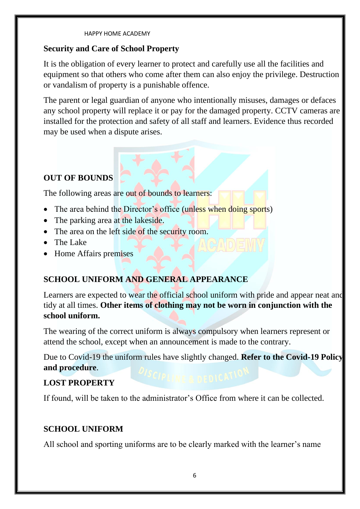#### **Security and Care of School Property**

It is the obligation of every learner to protect and carefully use all the facilities and equipment so that others who come after them can also enjoy the privilege. Destruction or vandalism of property is a punishable offence.

The parent or legal guardian of anyone who intentionally misuses, damages or defaces any school property will replace it or pay for the damaged property. CCTV cameras are installed for the protection and safety of all staff and learners. Evidence thus recorded may be used when a dispute arises.

### **OUT OF BOUNDS**

The following areas are out of bounds to learners:

- The area behind the Director's office (unless when doing sports)
- The parking area at the lakeside.
- The area on the left side of the security room.
- The Lake
- Home Affairs premises

### **SCHOOL UNIFORM AND GENERAL APPEARANCE**

Learners are expected to wear the official school uniform with pride and appear neat and tidy at all times. **Other items of clothing may not be worn in conjunction with the school uniform.**

The wearing of the correct uniform is always compulsory when learners represent or attend the school, except when an announcement is made to the contrary.

Due to Covid-19 the uniform rules have slightly changed. **Refer to the Covid-19 Policy and procedure**.

#### **LOST PROPERTY**

If found, will be taken to the administrator's Office from where it can be collected.

#### **SCHOOL UNIFORM**

All school and sporting uniforms are to be clearly marked with the learner's name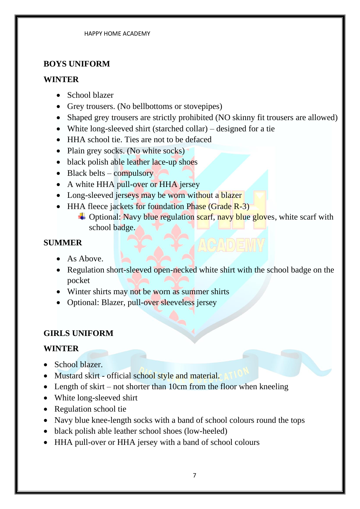#### **BOYS UNIFORM**

#### **WINTER**

- School blazer
- Grey trousers. (No bellbottoms or stovepipes)
- Shaped grey trousers are strictly prohibited (NO skinny fit trousers are allowed)
- White long-sleeved shirt (starched collar) designed for a tie
- HHA school tie. Ties are not to be defaced
- Plain grey socks. (No white socks)
- black polish able leather lace-up shoes
- Black belts compulsory
- A white HHA pull-over or HHA jersey
- Long-sleeved jerseys may be worn without a blazer
- HHA fleece jackets for foundation Phase (Grade R-3)
	- $\triangleq$  Optional: Navy blue regulation scarf, navy blue gloves, white scarf with school badge.

#### **SUMMER**

- As Above.
- Regulation short-sleeved open-necked white shirt with the school badge on the pocket
- Winter shirts may not be worn as summer shirts
- Optional: Blazer, pull-over sleeveless jersey

#### **GIRLS UNIFORM**

#### **WINTER**

- School blazer.
- Mustard skirt official school style and material.
- Length of skirt not shorter than 10cm from the floor when kneeling
- White long-sleeved shirt
- Regulation school tie
- Navy blue knee-length socks with a band of school colours round the tops
- black polish able leather school shoes (low-heeled)
- HHA pull-over or HHA jersey with a band of school colours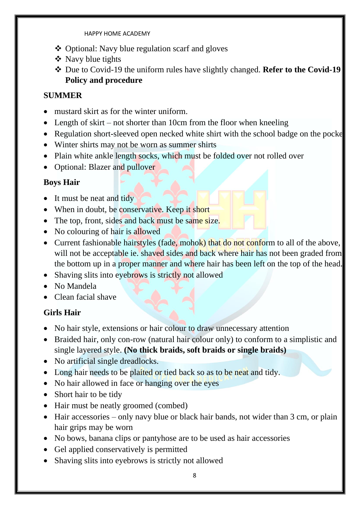- ❖ Optional: Navy blue regulation scarf and gloves
- ❖ Navy blue tights
- ❖ Due to Covid-19 the uniform rules have slightly changed. **Refer to the Covid-19 Policy and procedure**

#### **SUMMER**

- mustard skirt as for the winter uniform.
- Length of skirt not shorter than 10cm from the floor when kneeling
- Regulation short-sleeved open necked white shirt with the school badge on the pocke
- Winter shirts may not be worn as summer shirts
- Plain white ankle length socks, which must be folded over not rolled over
- Optional: Blazer and pullover

#### **Boys Hair**

- It must be neat and tidy
- When in doubt, be conservative. Keep it short
- The top, front, sides and back must be same size.
- No colouring of hair is allowed
- Current fashionable hairstyles (fade, mohok) that do not conform to all of the above, will not be acceptable ie. shaved sides and back where hair has not been graded from the bottom up in a proper manner and where hair has been left on the top of the head.
- Shaving slits into eyebrows is strictly not allowed
- No Mandela
- Clean facial shave

#### **Girls Hair**

- No hair style, extensions or hair colour to draw unnecessary attention
- Braided hair, only con-row (natural hair colour only) to conform to a simplistic and single layered style. **(No thick braids, soft braids or single braids)**
- No artificial single dreadlocks.
- Long hair needs to be plaited or tied back so as to be neat and tidy.
- No hair allowed in face or hanging over the eyes
- Short hair to be tidy
- Hair must be neatly groomed (combed)
- Hair accessories only navy blue or black hair bands, not wider than 3 cm, or plain hair grips may be worn
- No bows, banana clips or pantyhose are to be used as hair accessories
- Gel applied conservatively is permitted
- Shaving slits into eyebrows is strictly not allowed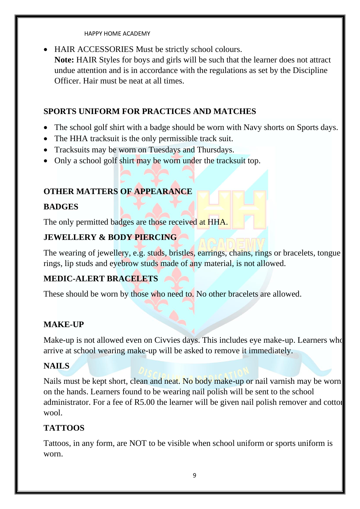• HAIR ACCESSORIES Must be strictly school colours. **Note:** HAIR Styles for boys and girls will be such that the learner does not attract undue attention and is in accordance with the regulations as set by the Discipline Officer. Hair must be neat at all times.

### **SPORTS UNIFORM FOR PRACTICES AND MATCHES**

- The school golf shirt with a badge should be worn with Navy shorts on Sports days.
- The HHA tracksuit is the only permissible track suit.
- Tracksuits may be worn on Tuesdays and Thursdays.
- Only a school golf shirt may be worn under the tracksuit top.

### **OTHER MATTERS OF APPEARANCE**

### **BADGES**

The only permitted badges are those received at HHA.

#### **JEWELLERY & BODY PIERCING**

The wearing of jewellery, e.g. studs, bristles, earrings, chains, rings or bracelets, tongue rings, lip studs and eyebrow studs made of any material, is not allowed.

### **MEDIC-ALERT BRACELETS**

These should be worn by those who need to. No other bracelets are allowed.

### **MAKE-UP**

Make-up is not allowed even on Civvies days. This includes eye make-up. Learners who arrive at school wearing make-up will be asked to remove it immediately.

### **NAILS**

Nails must be kept short, clean and neat. No body make-up or nail varnish may be worn on the hands. Learners found to be wearing nail polish will be sent to the school administrator. For a fee of R5.00 the learner will be given nail polish remover and cotton wool.

### **TATTOOS**

Tattoos, in any form, are NOT to be visible when school uniform or sports uniform is worn.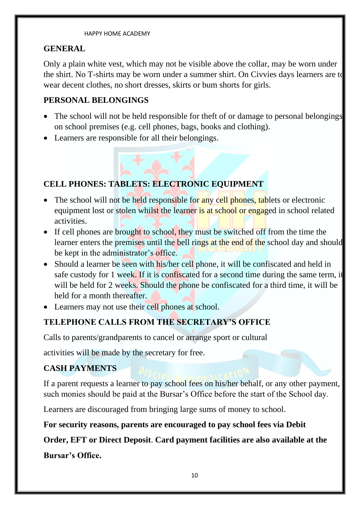#### **GENERAL**

Only a plain white vest, which may not be visible above the collar, may be worn under the shirt. No T-shirts may be worn under a summer shirt. On Civvies days learners are to wear decent clothes, no short dresses, skirts or bum shorts for girls.

#### **PERSONAL BELONGINGS**

- The school will not be held responsible for theft of or damage to personal belongings on school premises (e.g. cell phones, bags, books and clothing).
- Learners are responsible for all their belongings.

### **CELL PHONES: TABLETS: ELECTRONIC EQUIPMENT**

- The school will not be held responsible for any cell phones, tablets or electronic equipment lost or stolen whilst the learner is at school or engaged in school related activities.
- If cell phones are brought to school, they must be switched off from the time the learner enters the premises until the bell rings at the end of the school day and should be kept in the administrator's office.
- Should a learner be seen with his/her cell phone, it will be confiscated and held in safe custody for 1 week. If it is confiscated for a second time during the same term, if will be held for 2 weeks. Should the phone be confiscated for a third time, it will be held for a month thereafter.
- Learners may not use their cell phones at school.

### **TELEPHONE CALLS FROM THE SECRETARY'S OFFICE**

Calls to parents/grandparents to cancel or arrange sport or cultural

activities will be made by the secretary for free.

### **CASH PAYMENTS**

If a parent requests a learner to pay school fees on his/her behalf, or any other payment, such monies should be paid at the Bursar's Office before the start of the School day.

Learners are discouraged from bringing large sums of money to school.

#### **For security reasons, parents are encouraged to pay school fees via Debit**

**Order, EFT or Direct Deposit**. **Card payment facilities are also available at the**

**Bursar's Office.**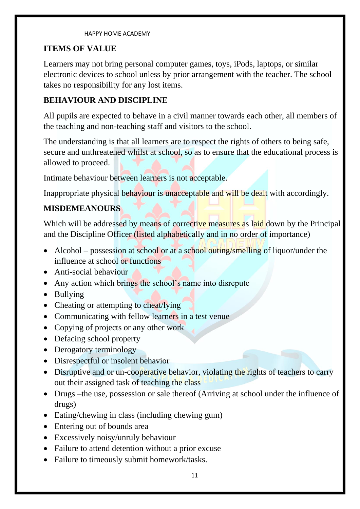#### **ITEMS OF VALUE**

Learners may not bring personal computer games, toys, iPods, laptops, or similar electronic devices to school unless by prior arrangement with the teacher. The school takes no responsibility for any lost items.

#### **BEHAVIOUR AND DISCIPLINE**

All pupils are expected to behave in a civil manner towards each other, all members of the teaching and non-teaching staff and visitors to the school.

The understanding is that all learners are to respect the rights of others to being safe, secure and unthreatened whilst at school, so as to ensure that the educational process is allowed to proceed.

Intimate behaviour between learners is not acceptable.

Inappropriate physical behaviour is unacceptable and will be dealt with accordingly.

#### **MISDEMEANOURS**

Which will be addressed by means of corrective measures as laid down by the Principal and the Discipline Officer (listed alphabetically and in no order of importance)

- Alcohol possession at school or at a school outing/smelling of liquor/under the influence at school or functions
- Anti-social behaviour
- Any action which brings the school's name into disrepute
- Bullying
- Cheating or attempting to cheat/lying
- Communicating with fellow learners in a test venue
- Copying of projects or any other work
- Defacing school property
- Derogatory terminology
- Disrespectful or insolent behavior
- Disruptive and or un-cooperative behavior, violating the rights of teachers to carry out their assigned task of teaching the class
- Drugs –the use, possession or sale thereof (Arriving at school under the influence of drugs)
- Eating/chewing in class (including chewing gum)
- Entering out of bounds area
- Excessively noisy/unruly behaviour
- Failure to attend detention without a prior excuse
- Failure to timeously submit homework/tasks.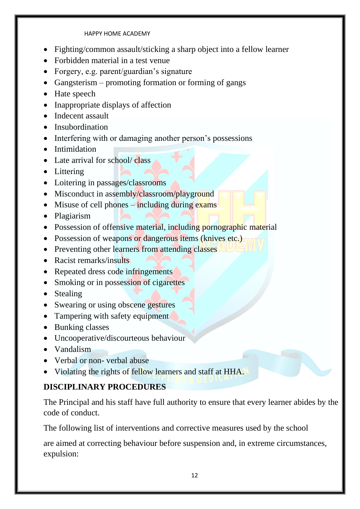- Fighting/common assault/sticking a sharp object into a fellow learner
- Forbidden material in a test venue
- Forgery, e.g. parent/guardian's signature
- Gangsterism promoting formation or forming of gangs
- Hate speech
- Inappropriate displays of affection
- Indecent assault
- Insubordination
- Interfering with or damaging another person's possessions
- Intimidation
- Late arrival for school/ class
- Littering
- Loitering in passages/classrooms
- Misconduct in assembly/classroom/playground
- Misuse of cell phones  $-\frac{1}{2}$  including during exams
- Plagiarism
- Possession of offensive material, including pornographic material
- Possession of weapons or dangerous items (knives etc.)
- Preventing other learners from attending classes
- Racist remarks/insults
- Repeated dress code infringements
- Smoking or in possession of cigarettes
- Stealing
- Swearing or using obscene gestures
- Tampering with safety equipment
- Bunking classes
- Uncooperative/discourteous behaviour
- Vandalism
- Verbal or non-verbal abuse
- Violating the rights of fellow learners and staff at HHA.

### **DISCIPLINARY PROCEDURES**

The Principal and his staff have full authority to ensure that every learner abides by the code of conduct.

The following list of interventions and corrective measures used by the school

are aimed at correcting behaviour before suspension and, in extreme circumstances, expulsion: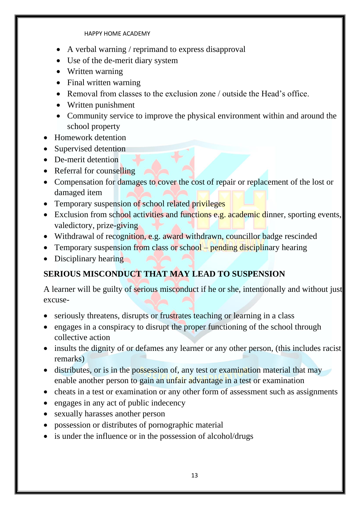- A verbal warning / reprimand to express disapproval
- Use of the de-merit diary system
- Written warning
- Final written warning
- Removal from classes to the exclusion zone / outside the Head's office.
- Written punishment
- Community service to improve the physical environment within and around the school property
- Homework detention
- Supervised detention
- De-merit detention
- Referral for counselling
- Compensation for damages to cover the cost of repair or replacement of the lost or damaged item
- Temporary suspension of school related privileges
- Exclusion from school activities and functions e.g. academic dinner, sporting events, valedictory, prize-giving
- Withdrawal of recognition, e.g. award withdrawn, councillor badge rescinded
- Temporary suspension from class or school pending disciplinary hearing
- Disciplinary hearing

### **SERIOUS MISCONDUCT THAT MAY LEAD TO SUSPENSION**

A learner will be guilty of serious misconduct if he or she, intentionally and without just excuse-

- seriously threatens, disrupts or frustrates teaching or learning in a class
- engages in a conspiracy to disrupt the proper functioning of the school through collective action
- insults the dignity of or defames any learner or any other person, (this includes racist remarks)
- distributes, or is in the possession of, any test or examination material that may enable another person to gain an unfair advantage in a test or examination
- cheats in a test or examination or any other form of assessment such as assignments
- engages in any act of public indecency
- sexually harasses another person
- possession or distributes of pornographic material
- is under the influence or in the possession of alcohol/drugs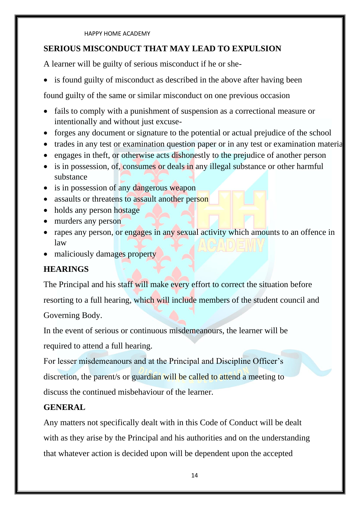#### **SERIOUS MISCONDUCT THAT MAY LEAD TO EXPULSION**

A learner will be guilty of serious misconduct if he or she-

• is found guilty of misconduct as described in the above after having been

found guilty of the same or similar misconduct on one previous occasion

- fails to comply with a punishment of suspension as a correctional measure or intentionally and without just excuse-
- forges any document or signature to the potential or actual prejudice of the school
- trades in any test or examination question paper or in any test or examination material
- engages in theft, or otherwise acts dishonestly to the prejudice of another person
- is in possession, of, consumes or deals in any illegal substance or other harmful substance
- is in possession of any dangerous weapon
- assaults or threatens to assault another person
- holds any person hostage
- murders any person
- rapes any person, or engages in any sexual activity which amounts to an offence in law
- maliciously damages property

### **HEARINGS**

The Principal and his staff will make every effort to correct the situation before resorting to a full hearing, which will include members of the student council and Governing Body.

In the event of serious or continuous misdemeanours, the learner will be required to attend a full hearing.

For lesser misdemeanours and at the Principal and Discipline Officer's discretion, the parent/s or guardian will be called to attend a meeting to discuss the continued misbehaviour of the learner.

### **GENERAL**

Any matters not specifically dealt with in this Code of Conduct will be dealt with as they arise by the Principal and his authorities and on the understanding that whatever action is decided upon will be dependent upon the accepted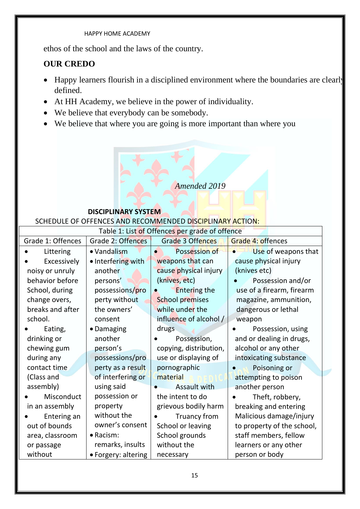ethos of the school and the laws of the country.

#### **OUR CREDO**

- Happy learners flourish in a disciplined environment where the boundaries are clearly defined.
- At HH Academy, we believe in the power of individuality.
- We believe that everybody can be somebody.
- We believe that where you are going is more important than where you

#### *Amended 2019*

#### **DISCIPLINARY SYSTEM**

#### SCHEDULE OF OFFENCES AND RECOMMENDED DISCIPLINARY ACTION:

| Table 1: List of Offences per grade of offence |                     |                            |                            |
|------------------------------------------------|---------------------|----------------------------|----------------------------|
| Grade 1: Offences                              | Grade 2: Offences   | <b>Grade 3 Offences</b>    | <b>Grade 4: offences</b>   |
| Littering                                      | • Vandalism         | Possession of<br>$\bullet$ | Use of weapons that        |
| Excessively                                    | • Interfering with  | weapons that can           | cause physical injury      |
| noisy or unruly                                | another             | cause physical injury      | (knives etc)               |
| behavior before                                | persons'            | (knives, etc)              | Possession and/or          |
| School, during                                 | possessions/pro     | <b>Entering the</b>        | use of a firearm, firearm  |
| change overs,                                  | perty without       | <b>School premises</b>     | magazine, ammunition,      |
| breaks and after                               | the owners'         | while under the            | dangerous or lethal        |
| school.                                        | consent             | influence of alcohol /     | weapon                     |
| Eating,                                        | • Damaging          | drugs                      | Possession, using          |
| drinking or                                    | another             | Possession,                | and or dealing in drugs,   |
| chewing gum                                    | person's            | copying, distribution,     | alcohol or any other       |
| during any                                     | possessions/pro     | use or displaying of       | intoxicating substance     |
| contact time                                   | perty as a result   | pornographic               | Poisoning or               |
| (Class and                                     | of interfering or   | material                   | attempting to poison       |
| assembly)                                      | using said          | Assault with               | another person             |
| Misconduct                                     | possession or       | the intent to do           | Theft, robbery,            |
| in an assembly                                 | property            | grievous bodily harm       | breaking and entering      |
| Entering an                                    | without the         | Truancy from               | Malicious damage/injury    |
| out of bounds                                  | owner's consent     | School or leaving          | to property of the school, |
| area, classroom                                | • Racism:           | School grounds             | staff members, fellow      |
| or passage                                     | remarks, insults    | without the                | learners or any other      |
| without                                        | • Forgery: altering | necessary                  | person or body             |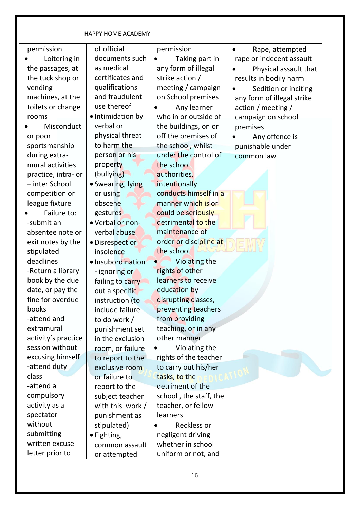| permission          | of official       | permission             | Rape, attempted<br>$\bullet$ |
|---------------------|-------------------|------------------------|------------------------------|
| Loitering in        | documents such    | Taking part in         | rape or indecent assault     |
| the passages, at    | as medical        | any form of illegal    | Physical assault that        |
| the tuck shop or    | certificates and  | strike action /        | results in bodily harm       |
| vending             | qualifications    | meeting / campaign     | Sedition or inciting         |
| machines, at the    | and fraudulent    | on School premises     | any form of illegal strike   |
| toilets or change   | use thereof       | Any learner            | action / meeting /           |
| rooms               | • Intimidation by | who in or outside of   | campaign on school           |
| Misconduct          | verbal or         | the buildings, on or   | premises                     |
| or poor             | physical threat   | off the premises of    | Any offence is               |
| sportsmanship       | to harm the       | the school, whilst     | punishable under             |
| during extra-       | person or his     | under the control of   | common law                   |
| mural activities    | property          | the school             |                              |
| practice, intra- or | (bullying)        | authorities,           |                              |
| - inter School      | • Swearing, lying | intentionally          |                              |
| competition or      | or using          | conducts himself in a  |                              |
| league fixture      | obscene           | manner which is or     |                              |
| Failure to:         | gestures          | could be seriously     |                              |
| -submit an          | . Verbal or non-  | detrimental to the     |                              |
| absentee note or    | verbal abuse      | maintenance of         |                              |
| exit notes by the   | · Disrespect or   | order or discipline at |                              |
| stipulated          | insolence         | the school             |                              |
| deadlines           | · Insubordination | Violating the          |                              |
| -Return a library   | - ignoring or     | rights of other        |                              |
| book by the due     | failing to carry  | learners to receive    |                              |
| date, or pay the    | out a specific    | education by           |                              |
| fine for overdue    | instruction (to   | disrupting classes,    |                              |
| books               | include failure   | preventing teachers    |                              |
| -attend and         | to do work /      | from providing         |                              |
| extramural          | punishment set    | teaching, or in any    |                              |
| activity's practice | in the exclusion  | other manner           |                              |
| session without     | room, or failure  | Violating the          |                              |
| excusing himself    | to report to the  | rights of the teacher  |                              |
| -attend duty        | exclusive room    | to carry out his/her   |                              |
| class               | or failure to     | tasks, to the          |                              |
| -attend a           | report to the     | detriment of the       |                              |
| compulsory          | subject teacher   | school, the staff, the |                              |
| activity as a       | with this work/   | teacher, or fellow     |                              |
| spectator           | punishment as     | learners               |                              |
| without             | stipulated)       | Reckless or            |                              |
| submitting          | • Fighting,       | negligent driving      |                              |
| written excuse      | common assault    | whether in school      |                              |
| letter prior to     | or attempted      | uniform or not, and    |                              |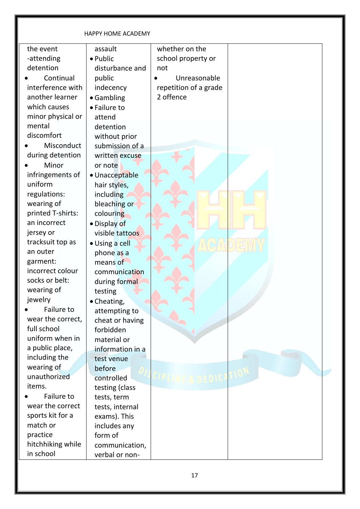| the event         | assault          | whether on the        |  |
|-------------------|------------------|-----------------------|--|
| -attending        | · Public         | school property or    |  |
| detention         | disturbance and  | not                   |  |
| Continual         | public           | Unreasonable          |  |
| interference with | indecency        | repetition of a grade |  |
| another learner   | • Gambling       | 2 offence             |  |
| which causes      | • Failure to     |                       |  |
| minor physical or | attend           |                       |  |
| mental            | detention        |                       |  |
| discomfort        | without prior    |                       |  |
| Misconduct        | submission of a  |                       |  |
| during detention  | written excuse   |                       |  |
| Minor             | or note          |                       |  |
| infringements of  | · Unacceptable   |                       |  |
| uniform           | hair styles,     |                       |  |
| regulations:      | including        |                       |  |
| wearing of        | bleaching or     |                       |  |
| printed T-shirts: | colouring        |                       |  |
| an incorrect      | · Display of     |                       |  |
| jersey or         | visible tattoos  |                       |  |
| tracksuit top as  | · Using a cell   |                       |  |
| an outer          | phone as a       |                       |  |
| garment:          | means of         |                       |  |
| incorrect colour  | communication    |                       |  |
| socks or belt:    | during formal    |                       |  |
| wearing of        | testing          |                       |  |
| jewelry           | • Cheating,      |                       |  |
| Failure to        | attempting to    |                       |  |
| wear the correct, | cheat or having  |                       |  |
| full school       | forbidden        |                       |  |
| uniform when in   | material or      |                       |  |
| a public place,   | information in a |                       |  |
| including the     | test venue       |                       |  |
| wearing of        | before           |                       |  |
| unauthorized      | controlled       | DNIC A                |  |
| items.            | testing (class   |                       |  |
| Failure to        | tests, term      |                       |  |
| wear the correct  | tests, internal  |                       |  |
| sports kit for a  | exams). This     |                       |  |
| match or          | includes any     |                       |  |
| practice          | form of          |                       |  |
| hitchhiking while | communication,   |                       |  |
| in school         | verbal or non-   |                       |  |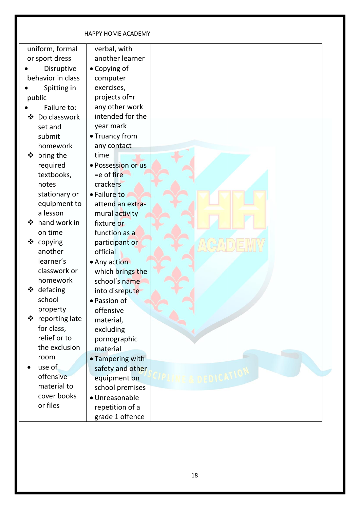|                   | <b>HAPPY HOME ACADEMY</b> |  |
|-------------------|---------------------------|--|
| uniform, formal   | verbal, with              |  |
| or sport dress    | another learner           |  |
| Disruptive        | • Copying of              |  |
| behavior in class | computer                  |  |
| Spitting in       | exercises,                |  |
| public            | projects of=r             |  |
| Failure to:       | any other work            |  |
| Do classwork<br>❖ | intended for the          |  |
| set and           | year mark                 |  |
| submit            | • Truancy from            |  |
| homework          | any contact               |  |
| bring the<br>❖    | time                      |  |
| required          | · Possession or us        |  |
| textbooks,        | $=$ e of fire             |  |
| notes             | crackers                  |  |
| stationary or     | • Failure to              |  |
| equipment to      | attend an extra-          |  |
| a lesson          | mural activity            |  |
| hand work in<br>❖ | fixture or                |  |
| on time           | function as a             |  |
| copying<br>❖      | participant or            |  |
| another           | official                  |  |
| learner's         | • Any action              |  |
| classwork or      | which brings the          |  |
| homework          | school's name             |  |
| defacing<br>∗⊻    | into disrepute            |  |
| school            | · Passion of              |  |
| property          | offensive                 |  |
| ❖ reporting late  | material,                 |  |
| for class,        | excluding                 |  |
| relief or to      | pornographic              |  |
| the exclusion     | material                  |  |
| room              | • Tampering with          |  |
| use of            | safety and other          |  |
| offensive         | equipment on              |  |
| material to       | school premises           |  |
| cover books       | · Unreasonable            |  |
| or files          | repetition of a           |  |
|                   | grade 1 offence           |  |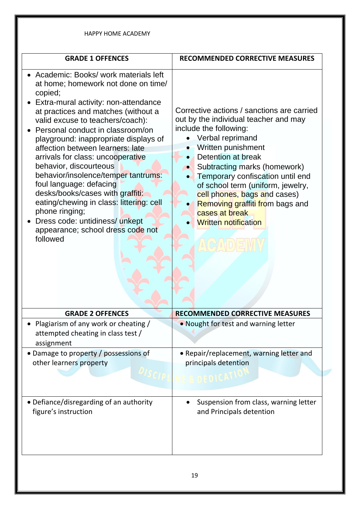| <b>GRADE 1 OFFENCES</b>                                                                                                                                                                                                                                                                                                                                                                                                                                                                                                                                                                                                                            | <b>RECOMMENDED CORRECTIVE MEASURES</b>                                                                                                                                                                                                                                                                                                                                                                     |
|----------------------------------------------------------------------------------------------------------------------------------------------------------------------------------------------------------------------------------------------------------------------------------------------------------------------------------------------------------------------------------------------------------------------------------------------------------------------------------------------------------------------------------------------------------------------------------------------------------------------------------------------------|------------------------------------------------------------------------------------------------------------------------------------------------------------------------------------------------------------------------------------------------------------------------------------------------------------------------------------------------------------------------------------------------------------|
| • Academic: Books/ work materials left<br>at home; homework not done on time/<br>copied;<br>Extra-mural activity: non-attendance<br>at practices and matches (without a<br>valid excuse to teachers/coach):<br>Personal conduct in classroom/on<br>playground: inappropriate displays of<br>affection between learners: late<br>arrivals for class: uncooperative<br>behavior, discourteous<br>behavior/insolence/temper tantrums:<br>foul language: defacing<br>desks/books/cases with graffiti:<br>eating/chewing in class: littering: cell<br>phone ringing;<br>Dress code: untidiness/ unkept<br>appearance; school dress code not<br>followed | Corrective actions / sanctions are carried<br>out by the individual teacher and may<br>include the following:<br>Verbal reprimand<br>Written punishment<br>Detention at break<br>Subtracting marks (homework)<br>Temporary confiscation until end<br>of school term (uniform, jewelry,<br>cell phones, bags and cases)<br>Removing graffiti from bags and<br>cases at break<br><b>Written notification</b> |
| <b>GRADE 2 OFFENCES</b>                                                                                                                                                                                                                                                                                                                                                                                                                                                                                                                                                                                                                            | <b>RECOMMENDED CORRECTIVE MEASURES</b>                                                                                                                                                                                                                                                                                                                                                                     |
| Plagiarism of any work or cheating /                                                                                                                                                                                                                                                                                                                                                                                                                                                                                                                                                                                                               | . Nought for test and warning letter                                                                                                                                                                                                                                                                                                                                                                       |
| attempted cheating in class test /<br>assignment                                                                                                                                                                                                                                                                                                                                                                                                                                                                                                                                                                                                   |                                                                                                                                                                                                                                                                                                                                                                                                            |
| • Damage to property / possessions of<br>other learners property                                                                                                                                                                                                                                                                                                                                                                                                                                                                                                                                                                                   | • Repair/replacement, warning letter and<br>principals detention                                                                                                                                                                                                                                                                                                                                           |
|                                                                                                                                                                                                                                                                                                                                                                                                                                                                                                                                                                                                                                                    |                                                                                                                                                                                                                                                                                                                                                                                                            |
|                                                                                                                                                                                                                                                                                                                                                                                                                                                                                                                                                                                                                                                    |                                                                                                                                                                                                                                                                                                                                                                                                            |
| · Defiance/disregarding of an authority<br>figure's instruction                                                                                                                                                                                                                                                                                                                                                                                                                                                                                                                                                                                    | Suspension from class, warning letter<br>and Principals detention                                                                                                                                                                                                                                                                                                                                          |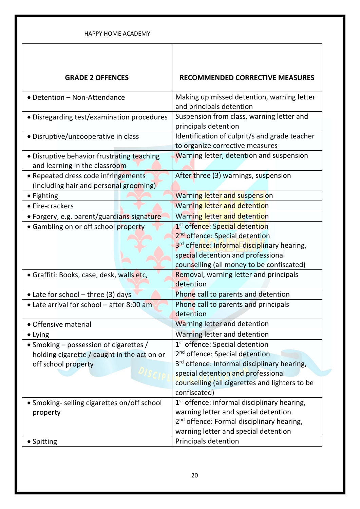| <b>HAPPY HOME ACADEMY</b>                                                     |                                                                                                                                                                                                                            |
|-------------------------------------------------------------------------------|----------------------------------------------------------------------------------------------------------------------------------------------------------------------------------------------------------------------------|
| <b>GRADE 2 OFFENCES</b>                                                       | <b>RECOMMENDED CORRECTIVE MEASURES</b>                                                                                                                                                                                     |
| • Detention - Non-Attendance                                                  | Making up missed detention, warning letter<br>and principals detention                                                                                                                                                     |
| • Disregarding test/examination procedures                                    | Suspension from class, warning letter and<br>principals detention                                                                                                                                                          |
| • Disruptive/uncooperative in class                                           | Identification of culprit/s and grade teacher<br>to organize corrective measures                                                                                                                                           |
| • Disruptive behavior frustrating teaching<br>and learning in the classroom   | Warning letter, detention and suspension                                                                                                                                                                                   |
| • Repeated dress code infringements<br>(including hair and personal grooming) | After three (3) warnings, suspension                                                                                                                                                                                       |
| • Fighting                                                                    | <b>Warning letter and suspension</b>                                                                                                                                                                                       |
| • Fire-crackers                                                               | <b>Warning letter and detention</b>                                                                                                                                                                                        |
| · Forgery, e.g. parent/guardians signature                                    | Warning letter and detention                                                                                                                                                                                               |
| • Gambling on or off school property                                          | 1 <sup>st</sup> offence: Special detention<br>2 <sup>nd</sup> offence: Special detention<br>3rd offence: Informal disciplinary hearing,<br>special detention and professional<br>counselling (all money to be confiscated) |
| • Graffiti: Books, case, desk, walls etc,                                     | Removal, warning letter and principals<br>detention                                                                                                                                                                        |
| • Late for school - three (3) days                                            | Phone call to parents and detention                                                                                                                                                                                        |
| • Late arrival for school - after 8:00 am                                     | Phone call to parents and principals<br>detention                                                                                                                                                                          |
| • Offensive material                                                          | Warning letter and detention                                                                                                                                                                                               |
| • Lying                                                                       | Warning letter and detention                                                                                                                                                                                               |
| • Smoking – possession of cigarettes /                                        | 1 <sup>st</sup> offence: Special detention                                                                                                                                                                                 |
| holding cigarette / caught in the act on or                                   | 2 <sup>nd</sup> offence: Special detention                                                                                                                                                                                 |
| off school property                                                           | 3 <sup>rd</sup> offence: Informal disciplinary hearing,                                                                                                                                                                    |
|                                                                               | special detention and professional<br>counselling (all cigarettes and lighters to be<br>confiscated)                                                                                                                       |
| • Smoking- selling cigarettes on/off school<br>property                       | 1 <sup>st</sup> offence: informal disciplinary hearing,<br>warning letter and special detention<br>2 <sup>nd</sup> offence: Formal disciplinary hearing,<br>warning letter and special detention                           |
| • Spitting                                                                    | Principals detention                                                                                                                                                                                                       |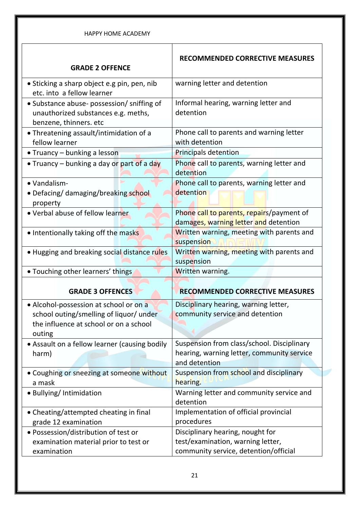| <b>HAPPY HOME ACADEMY</b>                                                                                   |                                                                                                           |
|-------------------------------------------------------------------------------------------------------------|-----------------------------------------------------------------------------------------------------------|
| <b>GRADE 2 OFFENCE</b>                                                                                      | <b>RECOMMENDED CORRECTIVE MEASURES</b>                                                                    |
| • Sticking a sharp object e.g pin, pen, nib<br>etc. into a fellow learner                                   | warning letter and detention                                                                              |
| • Substance abuse- possession/ sniffing of<br>unauthorized substances e.g. meths,<br>benzene, thinners. etc | Informal hearing, warning letter and<br>detention                                                         |
| • Threatening assault/intimidation of a<br>fellow learner                                                   | Phone call to parents and warning letter<br>with detention                                                |
| • Truancy – bunking a lesson                                                                                | <b>Principals detention</b>                                                                               |
| • Truancy – bunking a day or part of a day                                                                  | Phone call to parents, warning letter and<br>detention                                                    |
| • Vandalism-<br>• Defacing/ damaging/breaking school<br>property                                            | Phone call to parents, warning letter and<br>detention                                                    |
| • Verbal abuse of fellow learner                                                                            | Phone call to parents, repairs/payment of<br>damages, warning letter and detention                        |
| • Intentionally taking off the masks                                                                        | Written warning, meeting with parents and<br>suspension                                                   |
| • Hugging and breaking social distance rules                                                                | Written warning, meeting with parents and<br>suspension                                                   |
| . Touching other learners' things                                                                           | Written warning.                                                                                          |
|                                                                                                             |                                                                                                           |
| <b>GRADE 3 OFFENCES</b>                                                                                     | <b>RECOMMENDED CORRECTIVE MEASURES</b>                                                                    |
| • Alcohol-possession at school or on a                                                                      | Disciplinary hearing, warning letter,                                                                     |
| school outing/smelling of liquor/ under                                                                     | community service and detention                                                                           |
| the influence at school or on a school<br>outing                                                            |                                                                                                           |
| • Assault on a fellow learner (causing bodily<br>harm)                                                      | Suspension from class/school. Disciplinary<br>hearing, warning letter, community service<br>and detention |
| • Coughing or sneezing at someone without<br>a mask                                                         | Suspension from school and disciplinary<br>hearing.                                                       |
| • Bullying/Intimidation                                                                                     | Warning letter and community service and<br>detention                                                     |
| • Cheating/attempted cheating in final<br>grade 12 examination                                              | Implementation of official provincial<br>procedures                                                       |
| • Possession/distribution of test or                                                                        | Disciplinary hearing, nought for                                                                          |
| examination material prior to test or                                                                       | test/examination, warning letter,                                                                         |
| examination                                                                                                 | community service, detention/official                                                                     |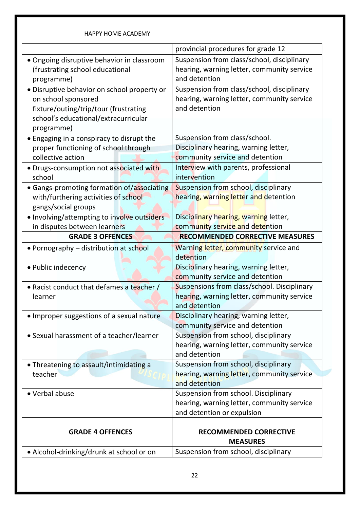| <b>HAPPY HOME ACADEMY</b>                                                                                                                                         |                                                                                                                        |
|-------------------------------------------------------------------------------------------------------------------------------------------------------------------|------------------------------------------------------------------------------------------------------------------------|
|                                                                                                                                                                   | provincial procedures for grade 12                                                                                     |
| · Ongoing disruptive behavior in classroom<br>(frustrating school educational<br>programme)                                                                       | Suspension from class/school, disciplinary<br>hearing, warning letter, community service<br>and detention              |
| · Disruptive behavior on school property or<br>on school sponsored<br>fixture/outing/trip/tour (frustrating<br>school's educational/extracurricular<br>programme) | Suspension from class/school, disciplinary<br>hearing, warning letter, community service<br>and detention              |
| • Engaging in a conspiracy to disrupt the<br>proper functioning of school through<br>collective action                                                            | Suspension from class/school.<br>Disciplinary hearing, warning letter,<br>community service and detention              |
| • Drugs-consumption not associated with<br>school                                                                                                                 | Interview with parents, professional<br>intervention                                                                   |
| • Gangs-promoting formation of/associating<br>with/furthering activities of school<br>gangs/social groups<br>. Involving/attempting to involve outsiders          | Suspension from school, disciplinary<br>hearing, warning letter and detention<br>Disciplinary hearing, warning letter, |
| in disputes between learners<br><b>GRADE 3 OFFENCES</b>                                                                                                           | community service and detention<br><b>RECOMMENDED CORRECTIVE MEASURES</b>                                              |
|                                                                                                                                                                   |                                                                                                                        |
| • Pornography – distribution at school                                                                                                                            | Warning letter, community service and<br>detention                                                                     |
| • Public indecency                                                                                                                                                | Disciplinary hearing, warning letter,<br>community service and detention                                               |
| • Racist conduct that defames a teacher /<br>learner                                                                                                              | Suspensions from class/school. Disciplinary                                                                            |
|                                                                                                                                                                   | hearing, warning letter, community service<br>and detention                                                            |
| • Improper suggestions of a sexual nature                                                                                                                         | Disciplinary hearing, warning letter,<br>community service and detention                                               |
| • Sexual harassment of a teacher/learner                                                                                                                          | Suspension from school, disciplinary<br>hearing, warning letter, community service<br>and detention                    |
| • Threatening to assault/intimidating a<br>teacher                                                                                                                | Suspension from school, disciplinary<br>hearing, warning letter, community service<br>and detention                    |
| • Verbal abuse                                                                                                                                                    | Suspension from school. Disciplinary<br>hearing, warning letter, community service<br>and detention or expulsion       |
| <b>GRADE 4 OFFENCES</b>                                                                                                                                           | <b>RECOMMENDED CORRECTIVE</b><br><b>MEASURES</b>                                                                       |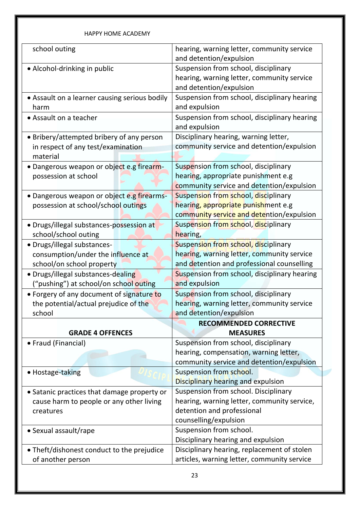| school outing                                                   | hearing, warning letter, community service   |
|-----------------------------------------------------------------|----------------------------------------------|
|                                                                 | and detention/expulsion                      |
| • Alcohol-drinking in public                                    | Suspension from school, disciplinary         |
|                                                                 | hearing, warning letter, community service   |
|                                                                 | and detention/expulsion                      |
| • Assault on a learner causing serious bodily                   | Suspension from school, disciplinary hearing |
| harm                                                            | and expulsion                                |
| • Assault on a teacher                                          | Suspension from school, disciplinary hearing |
|                                                                 | and expulsion                                |
| • Bribery/attempted bribery of any person                       | Disciplinary hearing, warning letter,        |
| in respect of any test/examination                              | community service and detention/expulsion    |
| material                                                        |                                              |
| • Dangerous weapon or object e.g firearm-                       | Suspension from school, disciplinary         |
| possession at school                                            | hearing, appropriate punishment e.g          |
|                                                                 | community service and detention/expulsion    |
| · Dangerous weapon or object e.g firearms-                      | Suspension from school, disciplinary         |
| possession at school/school outings                             | hearing, appropriate punishment e.g          |
|                                                                 | community service and detention/expulsion    |
| • Drugs/illegal substances-possession at                        | Suspension from school, disciplinary         |
| school/school outing                                            | hearing,                                     |
| · Drugs/illegal substances-                                     | Suspension from school, disciplinary         |
| consumption/under the influence at                              | hearing, warning letter, community service   |
| school/on school property                                       | and detention and professional counselling   |
| · Drugs/illegal substances-dealing                              | Suspension from school, disciplinary hearing |
| ("pushing") at school/on school outing                          | and expulsion                                |
| • Forgery of any document of signature to                       | Suspension from school, disciplinary         |
| the potential/actual prejudice of the                           | hearing, warning letter, community service   |
| school                                                          | and detention/expulsion                      |
|                                                                 | <b>RECOMMENDED CORRECTIVE</b>                |
| <b>GRADE 4 OFFENCES</b>                                         | <b>MEASURES</b>                              |
| • Fraud (Financial)                                             | Suspension from school, disciplinary         |
|                                                                 | hearing, compensation, warning letter,       |
|                                                                 | community service and detention/expulsion    |
| • Hostage-taking                                                | Suspension from school.                      |
|                                                                 | Disciplinary hearing and expulsion           |
| • Satanic practices that damage property or                     | Suspension from school. Disciplinary         |
| cause harm to people or any other living                        | hearing, warning letter, community service,  |
| creatures                                                       | detention and professional                   |
|                                                                 | counselling/expulsion                        |
| • Sexual assault/rape                                           | Suspension from school.                      |
|                                                                 | Disciplinary hearing and expulsion           |
| • Theft/dishonest conduct to the prejudice<br>of another person | Disciplinary hearing, replacement of stolen  |
|                                                                 | articles, warning letter, community service  |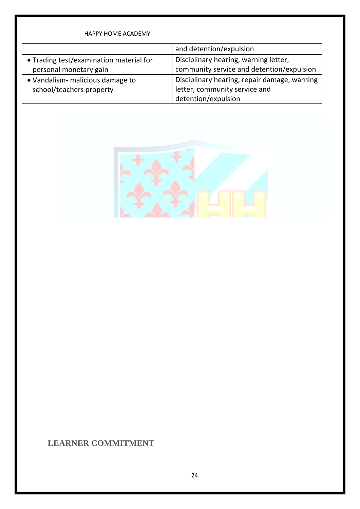| <b>HAPPY HOME ACADEMY</b>               |                                              |
|-----------------------------------------|----------------------------------------------|
|                                         | and detention/expulsion                      |
| • Trading test/examination material for | Disciplinary hearing, warning letter,        |
| personal monetary gain                  | community service and detention/expulsion    |
| • Vandalism- malicious damage to        | Disciplinary hearing, repair damage, warning |
| school/teachers property                | letter, community service and                |
|                                         | detention/expulsion                          |



### **LEARNER COMMITMENT**